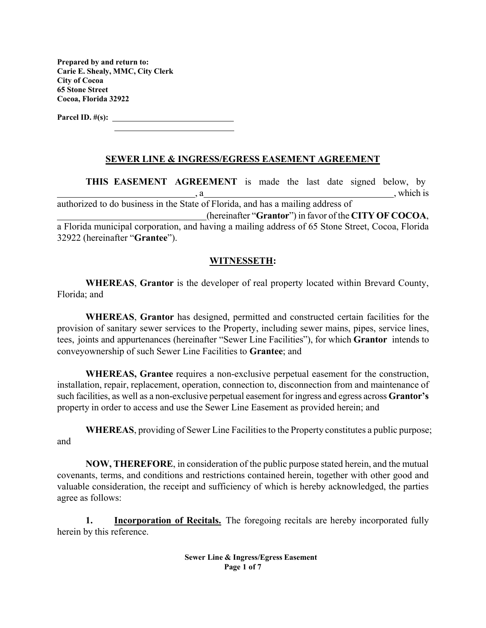**Prepared by and return to: Carie E. Shealy, MMC, City Clerk City of Cocoa 65 Stone Street Cocoa, Florida 32922** 

**Parcel ID. #(s):** 

## **SEWER LINE & INGRESS/EGRESS EASEMENT AGREEMENT**

**THIS EASEMENT AGREEMENT** is made the last date signed below, by , which is authorized to do business in the State of Florida, and has a mailing address of (hereinafter "**Grantor**") in favor of the **CITY OF COCOA**, a Florida municipal corporation, and having a mailing address of 65 Stone Street, Cocoa, Florida 32922 (hereinafter "**Grantee**").

#### **WITNESSETH:**

**WHEREAS**, **Grantor** is the developer of real property located within Brevard County, Florida; and

**WHEREAS**, **Grantor** has designed, permitted and constructed certain facilities for the provision of sanitary sewer services to the Property, including sewer mains, pipes, service lines, tees, joints and appurtenances (hereinafter "Sewer Line Facilities"), for which **Grantor** intends to convey ownership of such Sewer Line Facilities to **Grantee**; and

**WHEREAS, Grantee** requires a non-exclusive perpetual easement for the construction, installation, repair, replacement, operation, connection to, disconnection from and maintenance of such facilities, as well as a non-exclusive perpetual easement for ingress and egress across **Grantor's**  property in order to access and use the Sewer Line Easement as provided herein; and

**WHEREAS**, providing of Sewer Line Facilities to the Property constitutes a public purpose; and

**NOW, THEREFORE**, in consideration of the public purpose stated herein, and the mutual covenants, terms, and conditions and restrictions contained herein, together with other good and valuable consideration, the receipt and sufficiency of which is hereby acknowledged, the parties agree as follows:

**1. Incorporation of Recitals.** The foregoing recitals are hereby incorporated fully herein by this reference.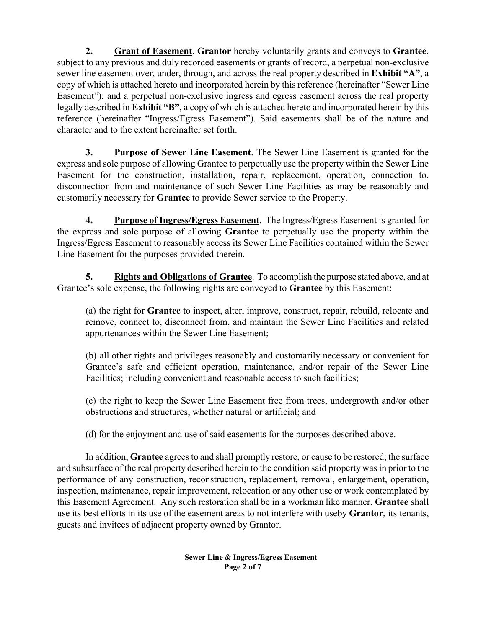**2. Grant of Easement**. **Grantor** hereby voluntarily grants and conveys to **Grantee**, subject to any previous and duly recorded easements or grants of record, a perpetual non-exclusive sewer line easement over, under, through, and across the real property described in **Exhibit "A"**, a copy of which is attached hereto and incorporated herein by this reference (hereinafter "Sewer Line Easement"); and a perpetual non-exclusive ingress and egress easement across the real property legally described in **Exhibit "B"**, a copy of which is attached hereto and incorporated herein by this reference (hereinafter "Ingress/Egress Easement"). Said easements shall be of the nature and character and to the extent hereinafter set forth.

**3. Purpose of Sewer Line Easement**. The Sewer Line Easement is granted for the express and sole purpose of allowing Grantee to perpetually use the property within the Sewer Line Easement for the construction, installation, repair, replacement, operation, connection to, disconnection from and maintenance of such Sewer Line Facilities as may be reasonably and customarily necessary for **Grantee** to provide Sewer service to the Property.

**4. Purpose of Ingress/Egress Easement**. The Ingress/Egress Easement is granted for the express and sole purpose of allowing **Grantee** to perpetually use the property within the Ingress/Egress Easement to reasonably access its Sewer Line Facilities contained within the Sewer Line Easement for the purposes provided therein.

**5. Rights and Obligations of Grantee**. To accomplish the purpose stated above, and at Grantee's sole expense, the following rights are conveyed to **Grantee** by this Easement:

(a) the right for **Grantee** to inspect, alter, improve, construct, repair, rebuild, relocate and remove, connect to, disconnect from, and maintain the Sewer Line Facilities and related appurtenances within the Sewer Line Easement;

(b) all other rights and privileges reasonably and customarily necessary or convenient for Grantee's safe and efficient operation, maintenance, and/or repair of the Sewer Line Facilities; including convenient and reasonable access to such facilities;

(c) the right to keep the Sewer Line Easement free from trees, undergrowth and/or other obstructions and structures, whether natural or artificial; and

(d) for the enjoyment and use of said easements for the purposes described above.

In addition, **Grantee** agrees to and shall promptly restore, or cause to be restored; the surface and subsurface of the real property described herein to the condition said property was in prior to the performance of any construction, reconstruction, replacement, removal, enlargement, operation, inspection, maintenance, repair improvement, relocation or any other use or work contemplated by this Easement Agreement. Any such restoration shall be in a workman like manner. **Grantee** shall use its best efforts in its use of the easement areas to not interfere with use by **Grantor**, its tenants, guests and invitees of adjacent property owned by Grantor.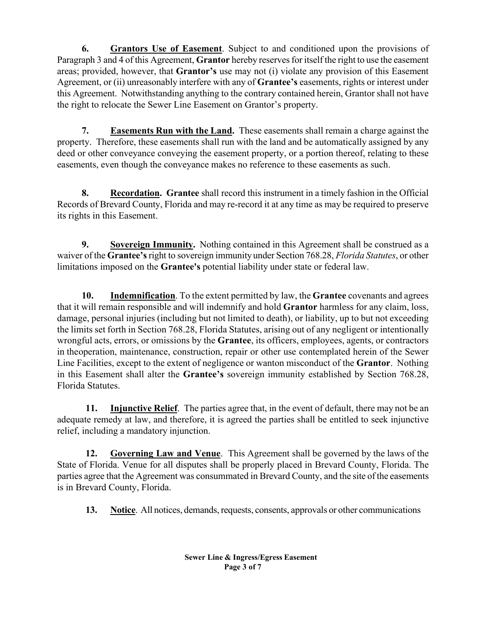**6. Grantors Use of Easement**. Subject to and conditioned upon the provisions of Paragraph 3 and 4 of this Agreement, **Grantor** hereby reserves for itself the right to use the easement areas; provided, however, that **Grantor's** use may not (i) violate any provision of this Easement Agreement, or (ii) unreasonably interfere with any of **Grantee's** easements, rights or interest under this Agreement. Notwithstanding anything to the contrary contained herein, Grantor shall not have the right to relocate the Sewer Line Easement on Grantor's property.

 **7. Easements Run with the Land.** These easements shall remain a charge against the property. Therefore, these easements shall run with the land and be automatically assigned by any deed or other conveyance conveying the easement property, or a portion thereof, relating to these easements, even though the conveyance makes no reference to these easements as such.

 **8. Recordation. Grantee** shall record this instrument in a timely fashion in the Official Records of Brevard County, Florida and may re-record it at any time as may be required to preserve its rights in this Easement.

**9.** Sovereign Immunity. Nothing contained in this Agreement shall be construed as a waiver of the **Grantee's** right to sovereign immunity under Section 768.28, *Florida Statutes*, or other limitations imposed on the **Grantee's** potential liability under state or federal law.

 **10. Indemnification**. To the extent permitted by law, the **Grantee** covenants and agrees that it will remain responsible and will indemnify and hold **Grantor** harmless for any claim, loss, damage, personal injuries (including but not limited to death), or liability, up to but not exceeding the limits set forth in Section 768.28, Florida Statutes, arising out of any negligent or intentionally wrongful acts, errors, or omissions by the **Grantee**, its officers, employees, agents, or contractors in the operation, maintenance, construction, repair or other use contemplated herein of the Sewer Line Facilities, except to the extent of negligence or wanton misconduct of the **Grantor**.Nothing in this Easement shall alter the **Grantee's** sovereign immunity established by Section 768.28, Florida Statutes.

**11. Injunctive Relief**. The parties agree that, in the event of default, there may not be an adequate remedy at law, and therefore, it is agreed the parties shall be entitled to seek injunctive relief, including a mandatory injunction.

**12. Governing Law and Venue**. This Agreement shall be governed by the laws of the State of Florida. Venue for all disputes shall be properly placed in Brevard County, Florida. The parties agree that the Agreement was consummated in Brevard County, and the site of the easements is in Brevard County, Florida.

**13. Notice**. All notices, demands, requests, consents, approvals or other communications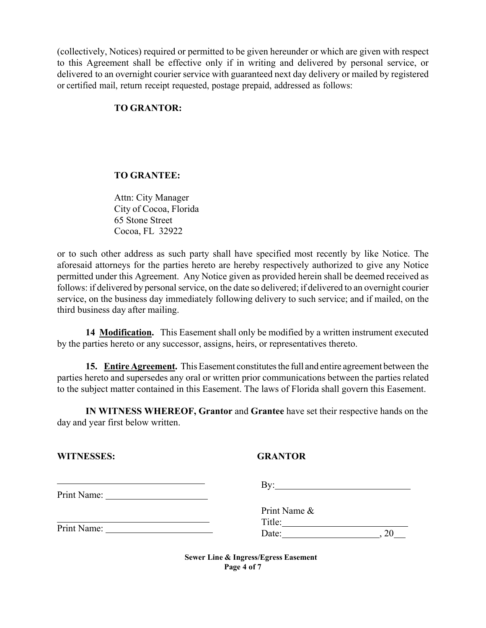(collectively, Notices) required or permitted to be given hereunder or which are given with respect to this Agreement shall be effective only if in writing and delivered by personal service, or delivered to an overnight courier service with guaranteed next day delivery or mailed by registered or certified mail, return receipt requested, postage prepaid, addressed as follows:

## **TO GRANTOR:**

## **TO GRANTEE:**

Attn: City Manager City of Cocoa, Florida 65 Stone Street Cocoa, FL 32922

or to such other address as such party shall have specified most recently by like Notice. The aforesaid attorneys for the parties hereto are hereby respectively authorized to give any Notice permitted under this Agreement. Any Notice given as provided herein shall be deemed received as follows: if delivered by personal service, on the date so delivered; if delivered to an overnight courier service, on the business day immediately following delivery to such service; and if mailed, on the third business day after mailing.

**14 Modification.** This Easement shall only be modified by a written instrument executed by the parties hereto or any successor, assigns, heirs, or representatives thereto.

**15. Entire Agreement.** This Easement constitutes the full and entire agreement between the parties hereto and supersedes any oral or written prior communications between the parties related to the subject matter contained in this Easement. The laws of Florida shall govern this Easement.

**IN WITNESS WHEREOF, Grantor** and **Grantee** have set their respective hands on the day and year first below written.

| <b>WITNESSES:</b> |
|-------------------|
|-------------------|

## **GRANTOR**

|             | Bv:          |  |
|-------------|--------------|--|
| Print Name: |              |  |
|             | Print Name & |  |
|             | Title:       |  |
| Print Name: | Date:        |  |

**Sewer Line & Ingress/Egress Easement Page 4 of 7**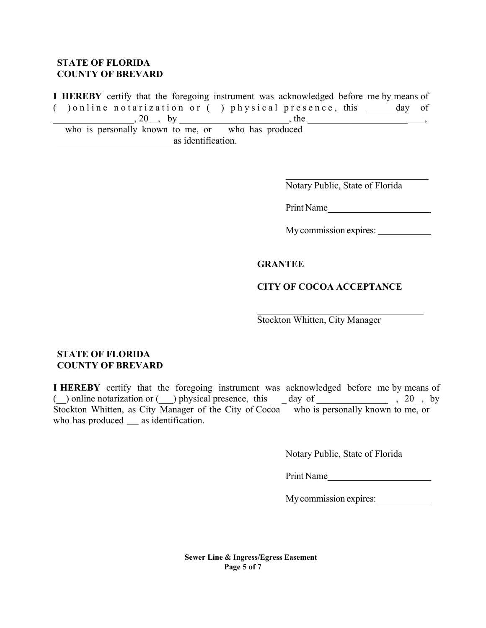## **STATE OF FLORIDA COUNTY OF BREVARD**

**I HEREBY** certify that the foregoing instrument was acknowledged before me by means of ( $\Box$ ) online notarization or ( $\Box$ ) physical presence, this  $\Box$  day of  $, 20 \_$ , by , the  $, 20 \_$ , by who is personally known to me, or who has produced

as identification.

Notary Public, State of Florida

Print Name

My commission expires:

#### **GRANTEE**

#### **CITY OF COCOA ACCEPTANCE**

Stockton Whitten, City Manager

## **STATE OF FLORIDA COUNTY OF BREVARD**

**I HEREBY** certify that the foregoing instrument was acknowledged before me by means of ( $\Box$ ) online notarization or  $\Box$ ) physical presence, this  $\Box$  day of  $\Box$   $\Box$ , 20, by Stockton Whitten, as City Manager of the City of Cocoa who is personally known to me, or who has produced as identification.

Notary Public, State of Florida

Print Name

My commission expires:

**Sewer Line & Ingress/Egress Easement Page 5 of 7**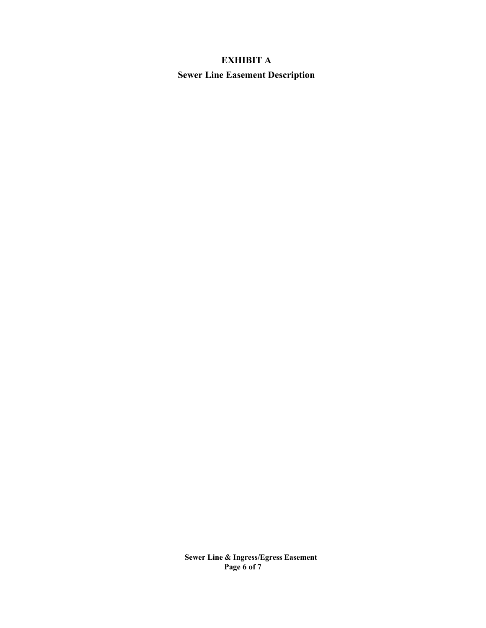# **EXHIBIT A Sewer Line Easement Description**

**Sewer Line & Ingress/Egress Easement Page 6 of 7**